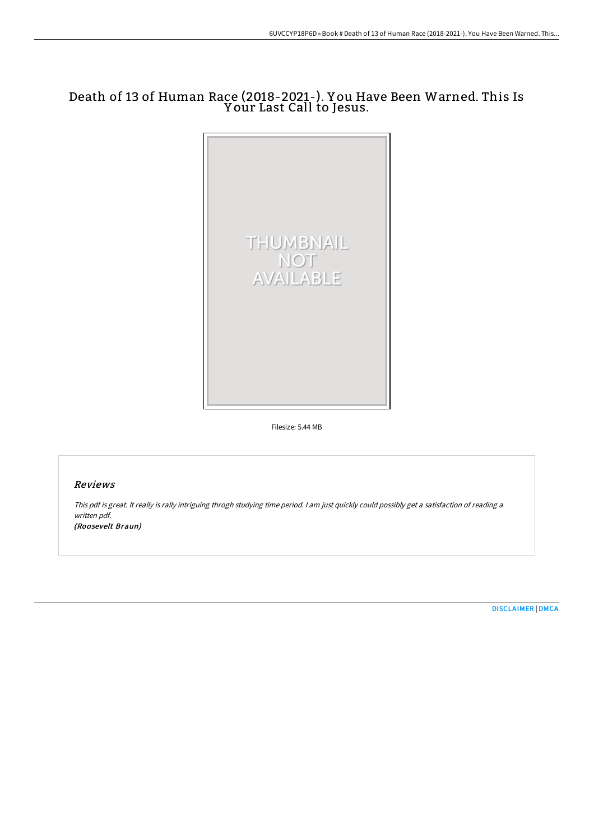# Death of 13 of Human Race (2018-2021-). Y ou Have Been Warned. This Is Y our Last Call to Jesus.



Filesize: 5.44 MB

# Reviews

This pdf is great. It really is rally intriguing throgh studying time period. <sup>I</sup> am just quickly could possibly get <sup>a</sup> satisfaction of reading <sup>a</sup> written pdf. (Roosevelt Braun)

[DISCLAIMER](http://www.bookdirs.com/disclaimer.html) | [DMCA](http://www.bookdirs.com/dmca.html)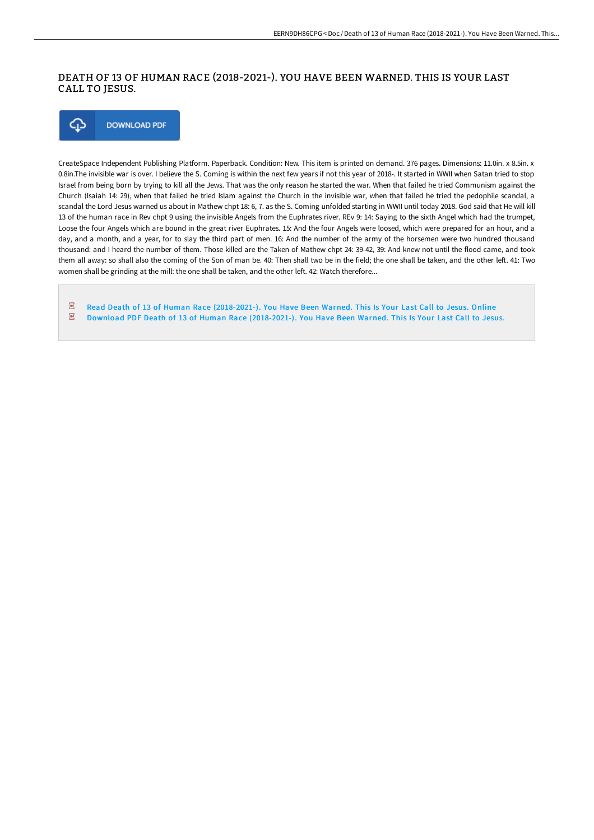## DEATH OF 13 OF HUMAN RACE (2018-2021-). YOU HAVE BEEN WARNED. THIS IS YOUR LAST CALL TO JESUS.

## ⊕ **DOWNLOAD PDF**

CreateSpace Independent Publishing Platform. Paperback. Condition: New. This item is printed on demand. 376 pages. Dimensions: 11.0in. x 8.5in. x 0.8in.The invisible war is over. I believe the S. Coming is within the next few years if not this year of 2018-. It started in WWII when Satan tried to stop Israel from being born by trying to kill all the Jews. That was the only reason he started the war. When that failed he tried Communism against the Church (Isaiah 14: 29), when that failed he tried Islam against the Church in the invisible war, when that failed he tried the pedophile scandal, a scandal the Lord Jesus warned us about in Mathew chpt 18: 6, 7. as the S. Coming unfolded starting in WWII until today 2018. God said that He will kill 13 of the human race in Rev chpt 9 using the invisible Angels from the Euphrates river. REv 9: 14: Saying to the sixth Angel which had the trumpet, Loose the four Angels which are bound in the great river Euphrates. 15: And the four Angels were loosed, which were prepared for an hour, and a day, and a month, and a year, for to slay the third part of men. 16: And the number of the army of the horsemen were two hundred thousand thousand: and I heard the number of them. Those killed are the Taken of Mathew chpt 24: 39-42, 39: And knew not until the flood came, and took them all away: so shall also the coming of the Son of man be. 40: Then shall two be in the field; the one shall be taken, and the other left. 41: Two women shall be grinding at the mill: the one shall be taken, and the other left. 42: Watch therefore...

 $\overline{\text{pos}}$ Read Death of 13 of Human Race [\(2018-2021-\).](http://www.bookdirs.com/death-of-13-of-human-race-2018-2021-you-have-bee.html) You Have Been Warned. This Is Your Last Call to Jesus. Online  $\overline{\phantom{a}}^{\rm ps}$ Download PDF Death of 13 of Human Race [\(2018-2021-\).](http://www.bookdirs.com/death-of-13-of-human-race-2018-2021-you-have-bee.html) You Have Been Warned. This Is Your Last Call to Jesus.